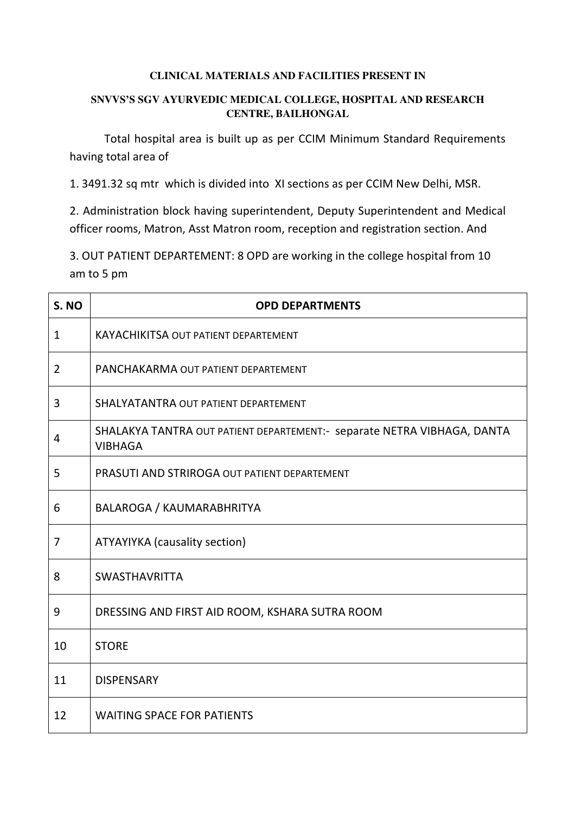#### **CLINICAL MATERIALS AND FACILITIES PRESENT IN**

### **SNVVS'S SGV AYURVEDIC MEDICAL COLLEGE, HOSPITAL AND RESEARCH CENTRE, BAILHONGAL**

Total hospital area is built up as per CCIM Minimum Standard Requirements having total area of

1. 3491.32 sq mtr which is divided into XI sections as per CCIM New Delhi, MSR.

2. Administration block having superintendent, Deputy Superintendent and Medical officer rooms, Matron, Asst Matron room, reception and registration section. And

3. OUT PATIENT DEPARTEMENT: 8 OPD are working in the college hospital from 10 am to 5 pm

| S. NO          | <b>OPD DEPARTMENTS</b>                                                                    |
|----------------|-------------------------------------------------------------------------------------------|
| $\mathbf{1}$   | <b>KAYACHIKITSA OUT PATIENT DEPARTEMENT</b>                                               |
| $\overline{2}$ | PANCHAKARMA OUT PATIENT DEPARTEMENT                                                       |
| $\overline{3}$ | SHALYATANTRA OUT PATIENT DEPARTEMENT                                                      |
| $\overline{4}$ | SHALAKYA TANTRA OUT PATIENT DEPARTEMENT:- separate NETRA VIBHAGA, DANTA<br><b>VIBHAGA</b> |
| 5              | PRASUTI AND STRIROGA OUT PATIENT DEPARTEMENT                                              |
| 6              | BALAROGA / KAUMARABHRITYA                                                                 |
| $\overline{7}$ | <b>ATYAYIYKA</b> (causality section)                                                      |
| 8              | <b>SWASTHAVRITTA</b>                                                                      |
| 9              | DRESSING AND FIRST AID ROOM, KSHARA SUTRA ROOM                                            |
| 10             | <b>STORE</b>                                                                              |
| 11             | <b>DISPENSARY</b>                                                                         |
| 12             | <b>WAITING SPACE FOR PATIENTS</b>                                                         |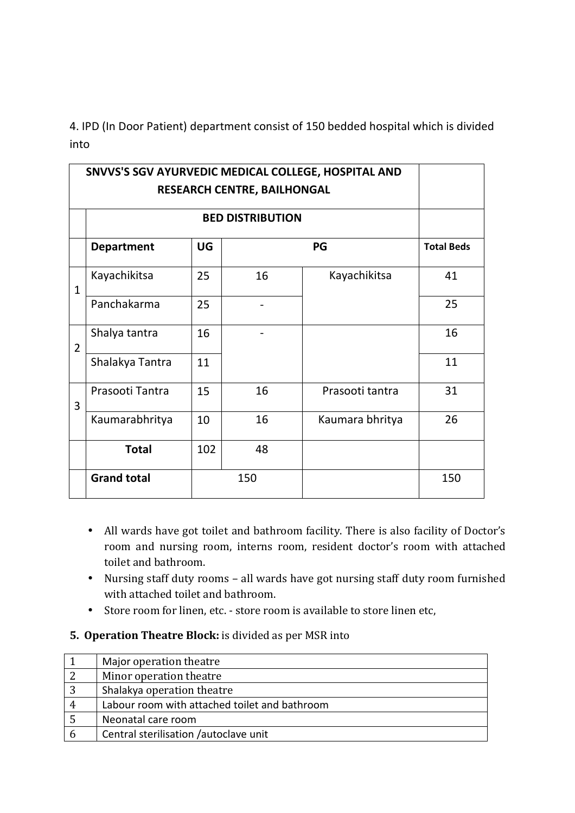4. IPD (In Door Patient) department consist of 150 bedded hospital which is divided into

| SNVVS'S SGV AYURVEDIC MEDICAL COLLEGE, HOSPITAL AND<br>RESEARCH CENTRE, BAILHONGAL |                    |     |                         |                   |     |
|------------------------------------------------------------------------------------|--------------------|-----|-------------------------|-------------------|-----|
|                                                                                    |                    |     | <b>BED DISTRIBUTION</b> |                   |     |
|                                                                                    | <b>Department</b>  | UG  |                         | <b>Total Beds</b> |     |
| $\mathbf{1}$                                                                       | Kayachikitsa       | 25  | 16                      | Kayachikitsa      | 41  |
|                                                                                    | Panchakarma        | 25  |                         |                   | 25  |
| $\overline{2}$                                                                     | Shalya tantra      | 16  |                         |                   | 16  |
|                                                                                    | Shalakya Tantra    | 11  |                         |                   | 11  |
| 3                                                                                  | Prasooti Tantra    | 15  | 16                      | Prasooti tantra   | 31  |
|                                                                                    | Kaumarabhritya     | 10  | 16                      | Kaumara bhritya   | 26  |
|                                                                                    | <b>Total</b>       | 102 | 48                      |                   |     |
|                                                                                    | <b>Grand total</b> | 150 |                         |                   | 150 |

- All wards have got toilet and bathroom facility. There is also facility of Doctor's room and nursing room, interns room, resident doctor's room with attached toilet and bathroom.
- Nursing staff duty rooms all wards have got nursing staff duty room furnished with attached toilet and bathroom.
- Store room for linen, etc. store room is available to store linen etc,
- **5. Operation Theatre Block:** is divided as per MSR into

|                | Major operation theatre                       |
|----------------|-----------------------------------------------|
| 2              | Minor operation theatre                       |
| 3              | Shalakya operation theatre                    |
| $\overline{4}$ | Labour room with attached toilet and bathroom |
| - 5            | Neonatal care room                            |
|                | Central sterilisation /autoclave unit         |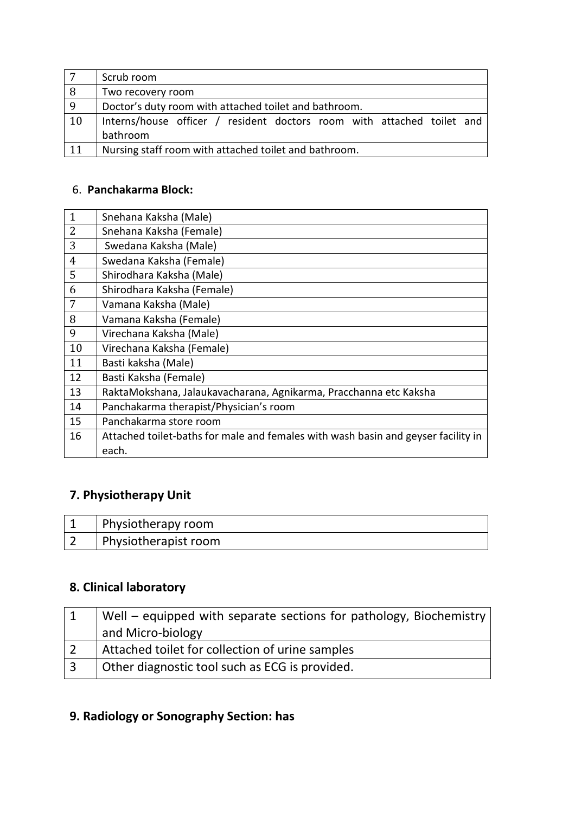|    | Scrub room                                                             |
|----|------------------------------------------------------------------------|
| 8  | Two recovery room                                                      |
| 9  | Doctor's duty room with attached toilet and bathroom.                  |
| 10 | Interns/house officer / resident doctors room with attached toilet and |
|    | bathroom                                                               |
|    | Nursing staff room with attached toilet and bathroom.                  |

## 6. **Panchakarma Block:**

| $\mathbf{1}$ | Snehana Kaksha (Male)                                                             |
|--------------|-----------------------------------------------------------------------------------|
| 2            | Snehana Kaksha (Female)                                                           |
| 3            | Swedana Kaksha (Male)                                                             |
| 4            | Swedana Kaksha (Female)                                                           |
| 5            | Shirodhara Kaksha (Male)                                                          |
| 6            | Shirodhara Kaksha (Female)                                                        |
| 7            | Vamana Kaksha (Male)                                                              |
| 8            | Vamana Kaksha (Female)                                                            |
| 9            | Virechana Kaksha (Male)                                                           |
| 10           | Virechana Kaksha (Female)                                                         |
| 11           | Basti kaksha (Male)                                                               |
| 12           | Basti Kaksha (Female)                                                             |
| 13           | RaktaMokshana, Jalaukavacharana, Agnikarma, Pracchanna etc Kaksha                 |
| 14           | Panchakarma therapist/Physician's room                                            |
| 15           | Panchakarma store room                                                            |
| 16           | Attached toilet-baths for male and females with wash basin and geyser facility in |
|              | each.                                                                             |

# **7. Physiotherapy Unit**

| Physiotherapy room   |
|----------------------|
| Physiotherapist room |

## **8. Clinical laboratory**

|                | Well – equipped with separate sections for pathology, Biochemistry<br>and Micro-biology |
|----------------|-----------------------------------------------------------------------------------------|
|                | Attached toilet for collection of urine samples                                         |
| $\overline{3}$ | Other diagnostic tool such as ECG is provided.                                          |

# **9. Radiology or Sonography Section: has**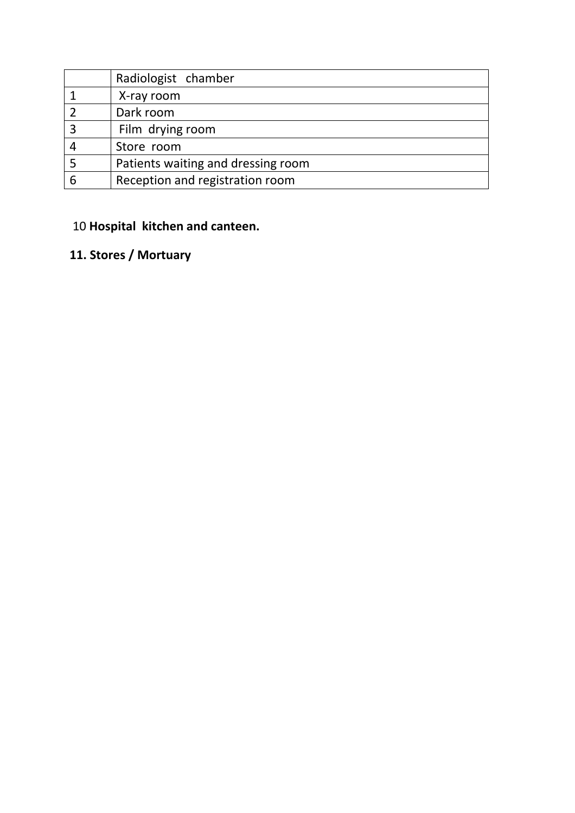|   | Radiologist chamber                |
|---|------------------------------------|
|   | X-ray room                         |
|   | Dark room                          |
|   | Film drying room                   |
|   | Store room                         |
|   | Patients waiting and dressing room |
| ь | Reception and registration room    |

# 10 **Hospital kitchen and canteen.**

# **11. Stores / Mortuary**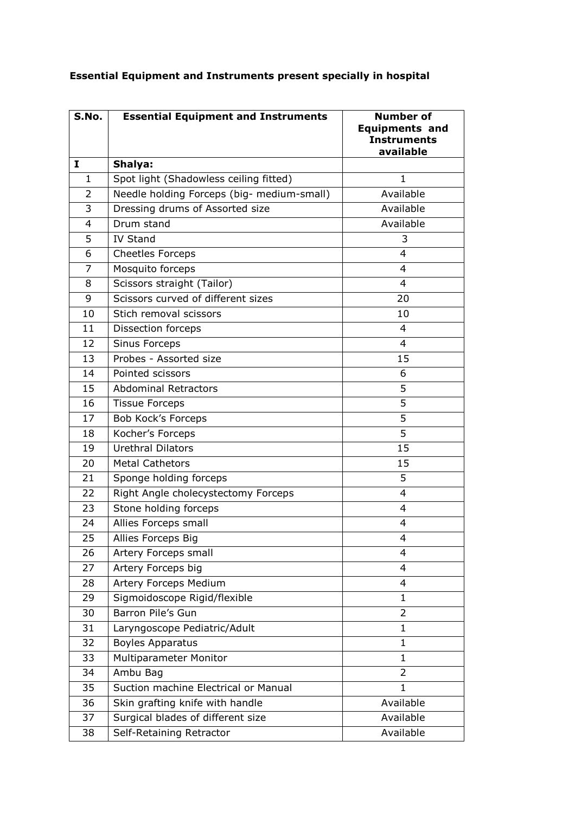| S.No.        | <b>Essential Equipment and Instruments</b> | <b>Number of</b><br><b>Equipments and</b><br><b>Instruments</b><br>available |
|--------------|--------------------------------------------|------------------------------------------------------------------------------|
| I            | Shalya:                                    |                                                                              |
| $\mathbf{1}$ | Spot light (Shadowless ceiling fitted)     | 1                                                                            |
| 2            | Needle holding Forceps (big- medium-small) | Available                                                                    |
| 3            | Dressing drums of Assorted size            | Available                                                                    |
| 4            | Drum stand                                 | Available                                                                    |
| 5            | <b>IV Stand</b>                            | 3                                                                            |
| 6            | <b>Cheetles Forceps</b>                    | 4                                                                            |
| 7            | Mosquito forceps                           | 4                                                                            |
| 8            | Scissors straight (Tailor)                 | 4                                                                            |
| 9            | Scissors curved of different sizes         | 20                                                                           |
| 10           | Stich removal scissors                     | 10                                                                           |
| 11           | Dissection forceps                         | 4                                                                            |
| 12           | Sinus Forceps                              | 4                                                                            |
| 13           | Probes - Assorted size                     | 15                                                                           |
| 14           | Pointed scissors                           | 6                                                                            |
| 15           | <b>Abdominal Retractors</b>                | 5                                                                            |
| 16           | <b>Tissue Forceps</b>                      | 5                                                                            |
| 17           | <b>Bob Kock's Forceps</b>                  | 5                                                                            |
| 18           | Kocher's Forceps                           | $\overline{5}$                                                               |
| 19           | <b>Urethral Dilators</b>                   | 15                                                                           |
| 20           | <b>Metal Cathetors</b>                     | 15                                                                           |
| 21           | Sponge holding forceps                     | 5                                                                            |
| 22           | Right Angle cholecystectomy Forceps        | $\overline{4}$                                                               |
| 23           | Stone holding forceps                      | 4                                                                            |
| 24           | Allies Forceps small                       | 4                                                                            |
| 25           | Allies Forceps Big                         | 4                                                                            |
| 26           | Artery Forceps small                       | 4                                                                            |
| 27           | Artery Forceps big                         | 4                                                                            |
| 28           | Artery Forceps Medium                      | 4                                                                            |
| 29           | Sigmoidoscope Rigid/flexible               | 1                                                                            |
| 30           | Barron Pile's Gun                          | $\overline{2}$                                                               |
| 31           | Laryngoscope Pediatric/Adult               | $\mathbf{1}$                                                                 |
| 32           | <b>Boyles Apparatus</b>                    | 1                                                                            |
| 33           | Multiparameter Monitor                     | $\mathbf{1}$                                                                 |
| 34           | Ambu Bag                                   | $\overline{2}$                                                               |
| 35           | Suction machine Electrical or Manual       | 1                                                                            |
| 36           | Skin grafting knife with handle            | Available                                                                    |
| 37           | Surgical blades of different size          | Available                                                                    |
| 38           | Self-Retaining Retractor                   | Available                                                                    |

## **Essential Equipment and Instruments present specially in hospital**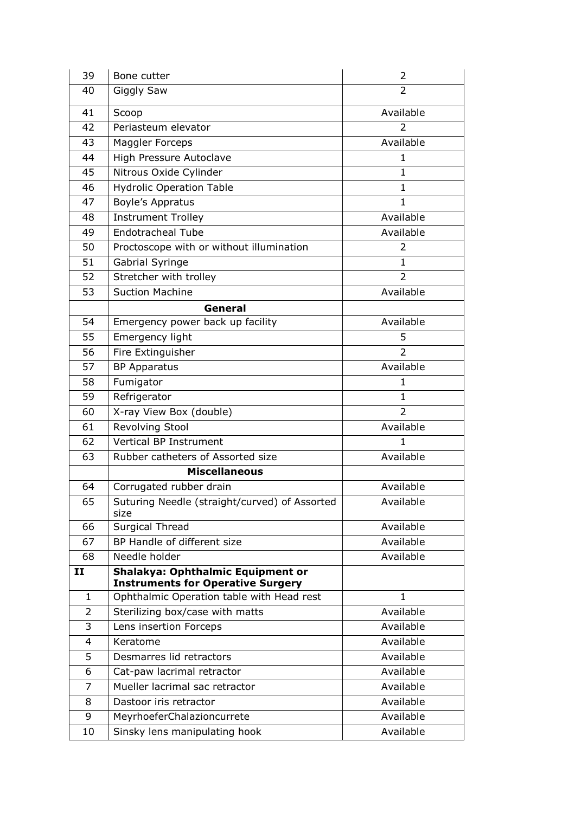| 39             | Bone cutter                                                                           | 2                      |
|----------------|---------------------------------------------------------------------------------------|------------------------|
| 40             | Giggly Saw                                                                            | 2                      |
| 41             | Scoop                                                                                 | Available              |
| 42             | Periasteum elevator                                                                   | $\overline{2}$         |
| 43             | Maggler Forceps                                                                       | Available              |
| 44             | High Pressure Autoclave                                                               | 1                      |
| 45             | Nitrous Oxide Cylinder                                                                | $\mathbf{1}$           |
| 46             | <b>Hydrolic Operation Table</b>                                                       | $\mathbf{1}$           |
| 47             | Boyle's Appratus                                                                      | $\mathbf{1}$           |
| 48             | <b>Instrument Trolley</b>                                                             | Available              |
| 49             | <b>Endotracheal Tube</b>                                                              | Available              |
| 50             | Proctoscope with or without illumination                                              | 2                      |
| 51             | Gabrial Syringe                                                                       | 1                      |
| 52             | Stretcher with trolley                                                                | $\overline{2}$         |
| 53             | <b>Suction Machine</b>                                                                | Available              |
|                | General                                                                               |                        |
| 54             | Emergency power back up facility                                                      | Available              |
| 55             | Emergency light                                                                       | 5                      |
| 56             | Fire Extinguisher                                                                     | $\overline{2}$         |
| 57             | <b>BP Apparatus</b>                                                                   | Available              |
| 58             | Fumigator                                                                             | $\mathbf{1}$           |
| 59             | Refrigerator                                                                          | 1                      |
| 60             | X-ray View Box (double)                                                               | 2                      |
| 61             | Revolving Stool                                                                       | Available              |
| 62             | Vertical BP Instrument                                                                | 1                      |
| 63             | Rubber catheters of Assorted size                                                     | Available              |
|                | <b>Miscellaneous</b>                                                                  |                        |
| 64             | Corrugated rubber drain                                                               | Available              |
| 65             | Suturing Needle (straight/curved) of Assorted<br>size                                 | Available              |
| 66             | Surgical Thread                                                                       | Available              |
| 67             | BP Handle of different size                                                           | Available              |
| 68             | Needle holder                                                                         | Available              |
| II             | Shalakya: Ophthalmic Equipment or                                                     |                        |
| $\mathbf{1}$   | <b>Instruments for Operative Surgery</b><br>Ophthalmic Operation table with Head rest | $\mathbf{1}$           |
| $\overline{2}$ | Sterilizing box/case with matts                                                       | Available              |
| 3              | Lens insertion Forceps                                                                | Available              |
|                |                                                                                       |                        |
| 4<br>5         | Keratome<br>Desmarres lid retractors                                                  | Available<br>Available |
| 6              |                                                                                       | Available              |
| 7              | Cat-paw lacrimal retractor<br>Mueller lacrimal sac retractor                          | Available              |
| 8              | Dastoor iris retractor                                                                | Available              |
| 9              | MeyrhoeferChalazioncurrete                                                            | Available              |
|                |                                                                                       |                        |
| 10             | Sinsky lens manipulating hook                                                         | Available              |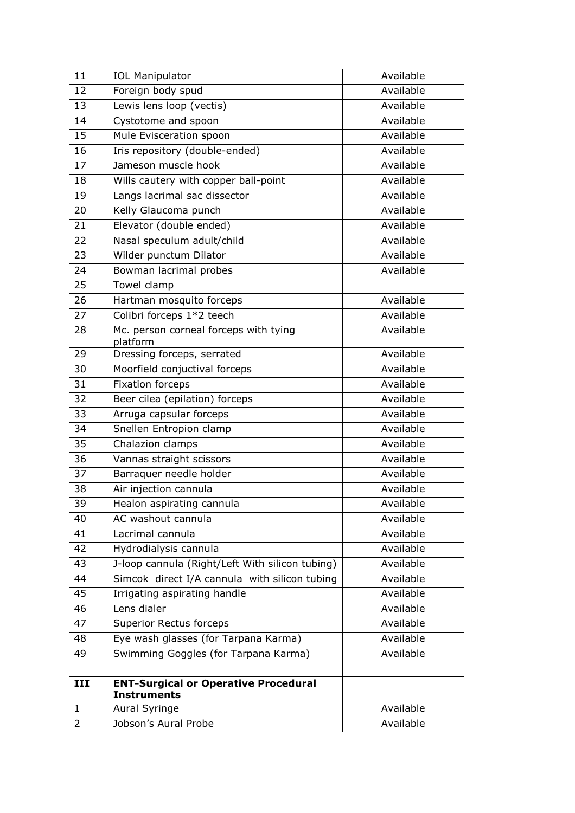| 11             | <b>IOL Manipulator</b>                                            | Available |
|----------------|-------------------------------------------------------------------|-----------|
| 12             | Foreign body spud                                                 | Available |
| 13             | Lewis lens loop (vectis)                                          | Available |
| 14             | Cystotome and spoon                                               | Available |
| 15             | Mule Evisceration spoon                                           | Available |
| 16             | Iris repository (double-ended)                                    | Available |
| 17             | Jameson muscle hook                                               | Available |
| 18             | Wills cautery with copper ball-point                              | Available |
| 19             | Langs lacrimal sac dissector                                      | Available |
| 20             | Kelly Glaucoma punch                                              | Available |
| 21             | Elevator (double ended)                                           | Available |
| 22             | Nasal speculum adult/child                                        | Available |
| 23             | Wilder punctum Dilator                                            | Available |
| 24             | Bowman lacrimal probes                                            | Available |
| 25             | Towel clamp                                                       |           |
| 26             | Hartman mosquito forceps                                          | Available |
| 27             | Colibri forceps 1*2 teech                                         | Available |
| 28             | Mc. person corneal forceps with tying<br>platform                 | Available |
| 29             | Dressing forceps, serrated                                        | Available |
| 30             | Moorfield conjuctival forceps                                     | Available |
| 31             | <b>Fixation forceps</b>                                           | Available |
| 32             | Beer cilea (epilation) forceps                                    | Available |
| 33             | Arruga capsular forceps                                           | Available |
| 34             | Snellen Entropion clamp                                           | Available |
| 35             | Chalazion clamps                                                  | Available |
| 36             | Vannas straight scissors                                          | Available |
| 37             | Barraquer needle holder                                           | Available |
| 38             | Air injection cannula                                             | Available |
| 39             | Healon aspirating cannula                                         | Available |
| 40             | AC washout cannula                                                | Available |
| 41             | Lacrimal cannula                                                  | Available |
| 42             | Hydrodialysis cannula                                             | Available |
| 43             | J-loop cannula (Right/Left With silicon tubing)                   | Available |
| 44             | Simcok direct I/A cannula with silicon tubing                     | Available |
| 45             | Irrigating aspirating handle                                      | Available |
| 46             | Lens dialer                                                       | Available |
| 47             | <b>Superior Rectus forceps</b>                                    | Available |
| 48             | Eye wash glasses (for Tarpana Karma)                              | Available |
| 49             | Swimming Goggles (for Tarpana Karma)                              | Available |
|                |                                                                   |           |
| III            | <b>ENT-Surgical or Operative Procedural</b><br><b>Instruments</b> |           |
| $\mathbf{1}$   | Aural Syringe                                                     | Available |
| $\overline{2}$ | Jobson's Aural Probe                                              | Available |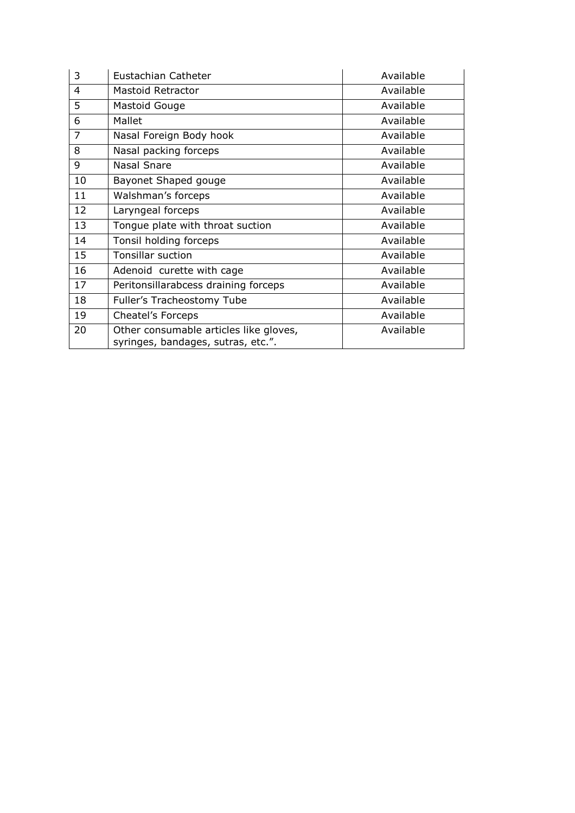| 3  | Eustachian Catheter                                                          | Available |
|----|------------------------------------------------------------------------------|-----------|
| 4  | Mastoid Retractor                                                            | Available |
| 5  | Mastoid Gouge                                                                | Available |
| 6  | Mallet                                                                       | Available |
| 7  | Nasal Foreign Body hook                                                      | Available |
| 8  | Nasal packing forceps                                                        | Available |
| 9  | Nasal Snare                                                                  | Available |
| 10 | Bayonet Shaped gouge                                                         | Available |
| 11 | Walshman's forceps                                                           | Available |
| 12 | Laryngeal forceps                                                            | Available |
| 13 | Tongue plate with throat suction                                             | Available |
| 14 | Tonsil holding forceps                                                       | Available |
| 15 | <b>Tonsillar suction</b>                                                     | Available |
| 16 | Adenoid curette with cage                                                    | Available |
| 17 | Peritonsillarabcess draining forceps                                         | Available |
| 18 | Fuller's Tracheostomy Tube                                                   | Available |
| 19 | Cheatel's Forceps                                                            | Available |
| 20 | Other consumable articles like gloves,<br>syringes, bandages, sutras, etc.". | Available |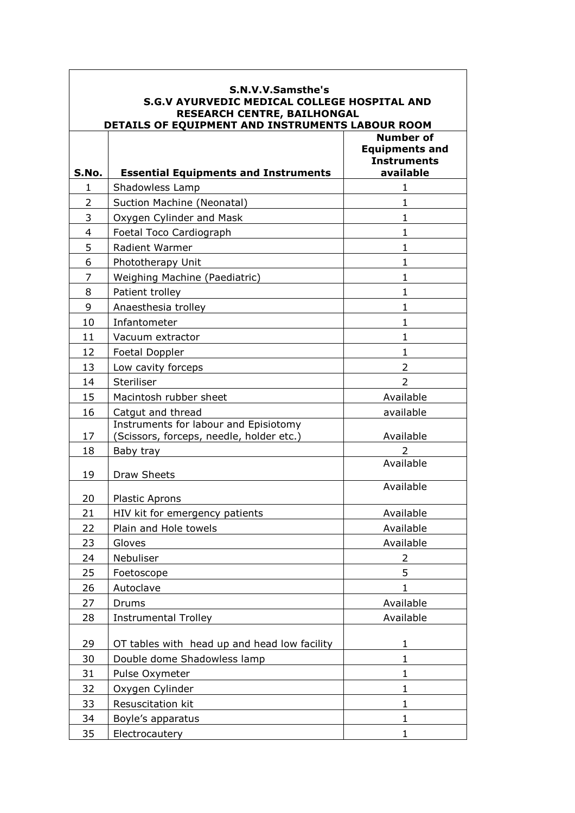| S.N.V.V.Samsthe's<br>S.G.V AYURVEDIC MEDICAL COLLEGE HOSPITAL AND<br>RESEARCH CENTRE, BAILHONGAL<br>DETAILS OF EQUIPMENT AND INSTRUMENTS LABOUR ROOM |                                                                                   |                                                                              |  |
|------------------------------------------------------------------------------------------------------------------------------------------------------|-----------------------------------------------------------------------------------|------------------------------------------------------------------------------|--|
| S.No.                                                                                                                                                | <b>Essential Equipments and Instruments</b>                                       | <b>Number of</b><br><b>Equipments and</b><br><b>Instruments</b><br>available |  |
| 1                                                                                                                                                    | Shadowless Lamp                                                                   | 1                                                                            |  |
| $\overline{2}$                                                                                                                                       | Suction Machine (Neonatal)                                                        | $\mathbf{1}$                                                                 |  |
| 3                                                                                                                                                    | Oxygen Cylinder and Mask                                                          | 1                                                                            |  |
| 4                                                                                                                                                    | Foetal Toco Cardiograph                                                           | 1                                                                            |  |
| 5                                                                                                                                                    | Radient Warmer                                                                    | 1                                                                            |  |
| 6                                                                                                                                                    | Phototherapy Unit                                                                 | 1                                                                            |  |
| $\overline{7}$                                                                                                                                       | Weighing Machine (Paediatric)                                                     | 1                                                                            |  |
| 8                                                                                                                                                    | Patient trolley                                                                   | $\mathbf{1}$                                                                 |  |
| 9                                                                                                                                                    | Anaesthesia trolley                                                               | 1                                                                            |  |
| 10                                                                                                                                                   | Infantometer                                                                      | $\mathbf{1}$                                                                 |  |
| 11                                                                                                                                                   | Vacuum extractor                                                                  | 1                                                                            |  |
| 12                                                                                                                                                   | Foetal Doppler                                                                    | $\mathbf{1}$                                                                 |  |
| 13                                                                                                                                                   | Low cavity forceps                                                                | $\overline{2}$                                                               |  |
| 14                                                                                                                                                   | Steriliser                                                                        | $\overline{2}$                                                               |  |
| 15                                                                                                                                                   | Macintosh rubber sheet                                                            | Available                                                                    |  |
| 16                                                                                                                                                   | Catgut and thread                                                                 | available                                                                    |  |
| 17                                                                                                                                                   | Instruments for labour and Episiotomy<br>(Scissors, forceps, needle, holder etc.) | Available                                                                    |  |
| 18                                                                                                                                                   | Baby tray                                                                         |                                                                              |  |
| 19                                                                                                                                                   | <b>Draw Sheets</b>                                                                | Available                                                                    |  |
| 20                                                                                                                                                   | <b>Plastic Aprons</b>                                                             | Available                                                                    |  |
| 21                                                                                                                                                   | HIV kit for emergency patients                                                    | Available                                                                    |  |
| 22                                                                                                                                                   | Plain and Hole towels                                                             | Available                                                                    |  |
| 23                                                                                                                                                   | Gloves                                                                            | Available                                                                    |  |
| 24                                                                                                                                                   | Nebuliser                                                                         | 2                                                                            |  |
| 25                                                                                                                                                   | Foetoscope                                                                        | 5                                                                            |  |
| 26                                                                                                                                                   | Autoclave                                                                         | 1.                                                                           |  |
| 27                                                                                                                                                   | Drums                                                                             | Available                                                                    |  |
| 28                                                                                                                                                   | <b>Instrumental Trolley</b>                                                       | Available                                                                    |  |
| 29                                                                                                                                                   | OT tables with head up and head low facility                                      | 1                                                                            |  |
| 30                                                                                                                                                   | Double dome Shadowless lamp                                                       | $\mathbf{1}$                                                                 |  |
| 31                                                                                                                                                   | Pulse Oxymeter                                                                    | 1                                                                            |  |
| 32                                                                                                                                                   | Oxygen Cylinder                                                                   | 1                                                                            |  |
| 33                                                                                                                                                   | Resuscitation kit                                                                 | 1                                                                            |  |
| 34                                                                                                                                                   | Boyle's apparatus                                                                 | 1                                                                            |  |
| 35                                                                                                                                                   | Electrocautery                                                                    | 1                                                                            |  |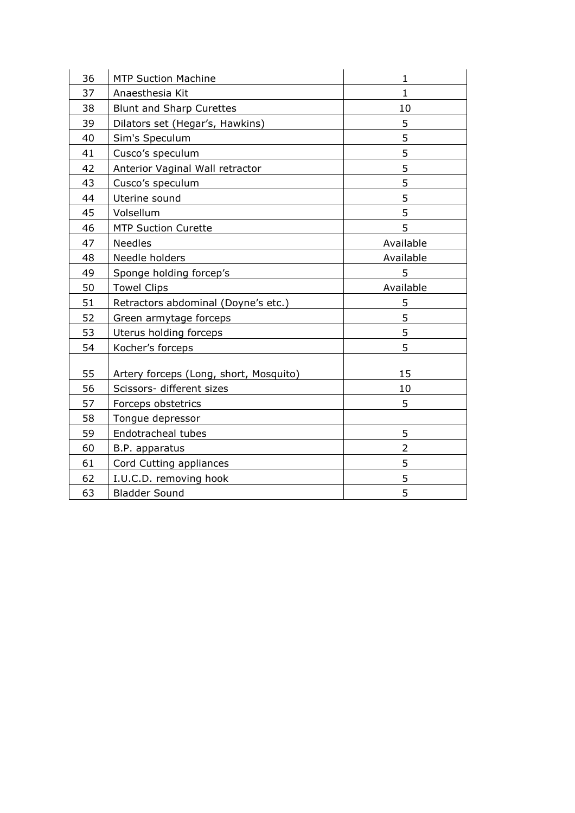| 36 | <b>MTP Suction Machine</b>                                          | 1              |
|----|---------------------------------------------------------------------|----------------|
| 37 | Anaesthesia Kit                                                     | $\mathbf{1}$   |
| 38 | <b>Blunt and Sharp Curettes</b>                                     | 10             |
| 39 | Dilators set (Hegar's, Hawkins)                                     | 5              |
| 40 | Sim's Speculum                                                      | 5              |
| 41 | Cusco's speculum                                                    | 5              |
| 42 | Anterior Vaginal Wall retractor                                     | 5              |
| 43 | Cusco's speculum                                                    | 5              |
| 44 | Uterine sound                                                       | 5              |
| 45 | Volsellum                                                           | 5              |
| 46 | <b>MTP Suction Curette</b>                                          | 5              |
| 47 | <b>Needles</b>                                                      | Available      |
| 48 | Needle holders                                                      | Available      |
| 49 | Sponge holding forcep's                                             | 5              |
| 50 | <b>Towel Clips</b>                                                  | Available      |
| 51 | Retractors abdominal (Doyne's etc.)                                 | 5              |
| 52 | Green armytage forceps                                              | 5              |
| 53 | Uterus holding forceps                                              | 5              |
| 54 | Kocher's forceps                                                    | 5              |
| 55 |                                                                     | 15             |
| 56 | Artery forceps (Long, short, Mosquito)<br>Scissors- different sizes | 10             |
| 57 |                                                                     | 5              |
| 58 | Forceps obstetrics                                                  |                |
|    | Tongue depressor<br>Endotracheal tubes                              | 5              |
| 59 |                                                                     | $\overline{2}$ |
| 60 | B.P. apparatus                                                      |                |
| 61 | Cord Cutting appliances                                             | 5              |
| 62 | I.U.C.D. removing hook                                              | 5              |
| 63 | <b>Bladder Sound</b>                                                | 5              |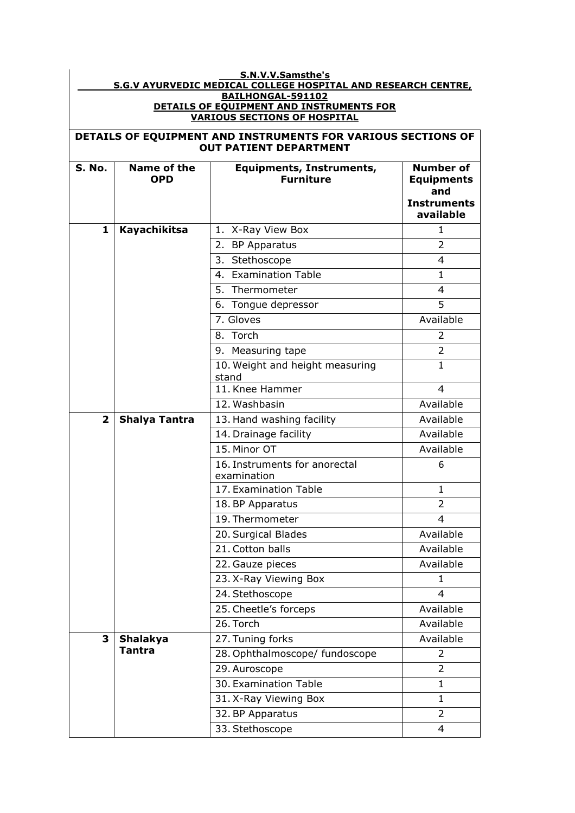|                                                                                 | S.N.V.V.Samsthe's<br><b>S.G.V AYURVEDIC MEDICAL COLLEGE HOSPITAL AND RESEARCH CENTRE,</b> |                                                     |                                                                    |  |  |
|---------------------------------------------------------------------------------|-------------------------------------------------------------------------------------------|-----------------------------------------------------|--------------------------------------------------------------------|--|--|
| BAILHONGAL-591102                                                               |                                                                                           |                                                     |                                                                    |  |  |
| DETAILS OF EQUIPMENT AND INSTRUMENTS FOR<br><b>VARIOUS SECTIONS OF HOSPITAL</b> |                                                                                           |                                                     |                                                                    |  |  |
| DETAILS OF EQUIPMENT AND INSTRUMENTS FOR VARIOUS SECTIONS OF                    |                                                                                           |                                                     |                                                                    |  |  |
|                                                                                 |                                                                                           | <b>OUT PATIENT DEPARTMENT</b>                       |                                                                    |  |  |
| <b>S. No.</b>                                                                   | Name of the<br><b>OPD</b>                                                                 | <b>Equipments, Instruments,</b><br><b>Furniture</b> | <b>Number of</b><br><b>Equipments</b><br>and<br><b>Instruments</b> |  |  |
|                                                                                 |                                                                                           |                                                     | available                                                          |  |  |
| 1                                                                               | <b>Kayachikitsa</b>                                                                       | 1. X-Ray View Box                                   | 1                                                                  |  |  |
|                                                                                 |                                                                                           | 2. BP Apparatus                                     | $\mathcal{P}$                                                      |  |  |
|                                                                                 |                                                                                           | 3. Stethoscope                                      | $\overline{4}$                                                     |  |  |
|                                                                                 |                                                                                           | 4. Examination Table                                | $\mathbf{1}$                                                       |  |  |
|                                                                                 |                                                                                           | 5. Thermometer                                      | $\overline{4}$                                                     |  |  |
|                                                                                 |                                                                                           | 6. Tongue depressor                                 | 5                                                                  |  |  |
|                                                                                 |                                                                                           | 7. Gloves                                           | Available                                                          |  |  |
|                                                                                 |                                                                                           | 8. Torch                                            | 2                                                                  |  |  |
|                                                                                 |                                                                                           | 9. Measuring tape                                   | $\overline{2}$                                                     |  |  |
|                                                                                 |                                                                                           | 10. Weight and height measuring<br>stand            | $\mathbf{1}$                                                       |  |  |
|                                                                                 |                                                                                           | 11. Knee Hammer                                     | 4                                                                  |  |  |
|                                                                                 |                                                                                           | 12. Washbasin                                       | Available                                                          |  |  |
| $\overline{\mathbf{2}}$                                                         | <b>Shalya Tantra</b>                                                                      | 13. Hand washing facility                           | Available                                                          |  |  |
|                                                                                 |                                                                                           | 14. Drainage facility                               | Available                                                          |  |  |
|                                                                                 |                                                                                           | 15. Minor OT                                        | Available                                                          |  |  |
|                                                                                 |                                                                                           | 16. Instruments for anorectal<br>examination        | 6                                                                  |  |  |
|                                                                                 |                                                                                           | 17. Examination Table                               | 1                                                                  |  |  |
|                                                                                 |                                                                                           | 18. BP Apparatus                                    | 2                                                                  |  |  |
|                                                                                 |                                                                                           | 19. Thermometer                                     | 4                                                                  |  |  |
|                                                                                 |                                                                                           | 20. Surgical Blades                                 | Available                                                          |  |  |
|                                                                                 |                                                                                           | 21. Cotton balls                                    | Available                                                          |  |  |
|                                                                                 |                                                                                           | 22. Gauze pieces                                    | Available                                                          |  |  |
|                                                                                 |                                                                                           | 23. X-Ray Viewing Box                               | $\mathbf{1}$                                                       |  |  |
|                                                                                 |                                                                                           | 24. Stethoscope                                     | 4                                                                  |  |  |
|                                                                                 |                                                                                           | 25. Cheetle's forceps                               | Available                                                          |  |  |
|                                                                                 |                                                                                           | 26. Torch                                           | Available                                                          |  |  |
| 3                                                                               | Shalakya                                                                                  | 27. Tuning forks                                    | Available                                                          |  |  |
|                                                                                 | <b>Tantra</b>                                                                             | 28. Ophthalmoscope/ fundoscope                      | 2                                                                  |  |  |
|                                                                                 |                                                                                           | 29. Auroscope                                       | $\overline{2}$                                                     |  |  |
|                                                                                 |                                                                                           | 30. Examination Table                               | 1                                                                  |  |  |
|                                                                                 |                                                                                           | 31. X-Ray Viewing Box                               | 1                                                                  |  |  |
|                                                                                 |                                                                                           | 32. BP Apparatus                                    | $\overline{2}$                                                     |  |  |
|                                                                                 |                                                                                           | 33. Stethoscope                                     | 4                                                                  |  |  |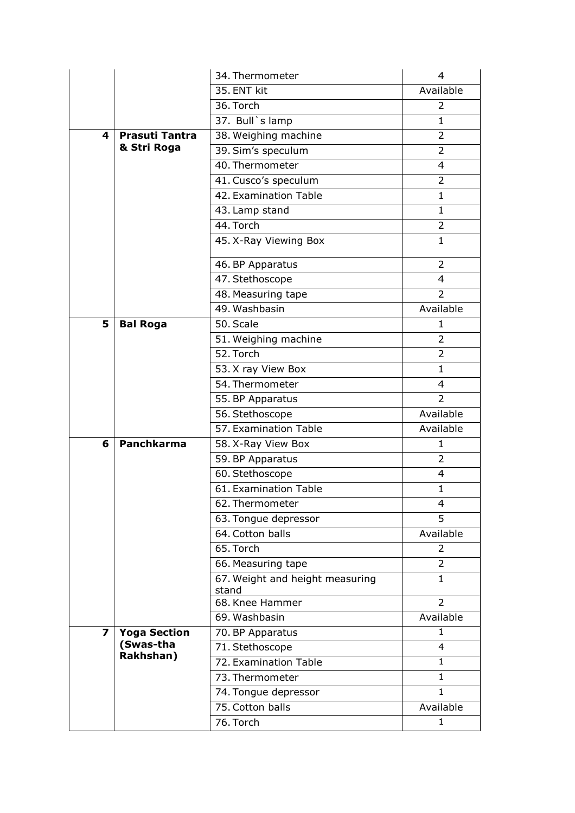|                         |                       | 34. Thermometer                          | 4              |
|-------------------------|-----------------------|------------------------------------------|----------------|
|                         |                       | 35. ENT kit                              | Available      |
|                         |                       | 36. Torch                                | 2              |
|                         |                       | 37. Bull's lamp                          | 1              |
| 4                       | <b>Prasuti Tantra</b> | 38. Weighing machine                     | $\mathcal{P}$  |
|                         | & Stri Roga           | 39. Sim's speculum                       | $\overline{2}$ |
|                         |                       | 40. Thermometer                          | 4              |
|                         |                       | 41. Cusco's speculum                     | 2              |
|                         |                       | 42. Examination Table                    | 1              |
|                         |                       | 43. Lamp stand                           | $\mathbf{1}$   |
|                         |                       | 44. Torch                                | 2              |
|                         |                       | 45. X-Ray Viewing Box                    | 1              |
|                         |                       | 46. BP Apparatus                         | $\overline{2}$ |
|                         |                       | 47. Stethoscope                          | 4              |
|                         |                       | 48. Measuring tape                       | 2              |
|                         |                       | 49. Washbasin                            | Available      |
| 5                       | <b>Bal Roga</b>       | 50. Scale                                | 1              |
|                         |                       | 51. Weighing machine                     | 2              |
|                         |                       | 52. Torch                                | $\overline{2}$ |
|                         |                       | 53. X ray View Box                       | $\mathbf{1}$   |
|                         |                       | 54. Thermometer                          | 4              |
|                         |                       | 55. BP Apparatus                         | $\overline{2}$ |
|                         |                       | 56. Stethoscope                          | Available      |
|                         |                       | 57. Examination Table                    | Available      |
| 6                       | <b>Panchkarma</b>     | 58. X-Ray View Box                       | 1              |
|                         |                       | 59. BP Apparatus                         | $\overline{2}$ |
|                         |                       | 60. Stethoscope                          | 4              |
|                         |                       | 61. Examination Table                    | 1              |
|                         |                       | 62. Thermometer                          | 4              |
|                         |                       | 63. Tongue depressor                     | 5              |
|                         |                       | 64. Cotton balls                         | Available      |
|                         |                       | 65. Torch                                | 2              |
|                         |                       | 66. Measuring tape                       | 2              |
|                         |                       | 67. Weight and height measuring<br>stand | 1              |
|                         |                       | 68. Knee Hammer                          | $\overline{2}$ |
|                         |                       | 69. Washbasin                            | Available      |
| $\overline{\mathbf{z}}$ | <b>Yoga Section</b>   | 70. BP Apparatus                         | 1              |
|                         | (Swas-tha             | 71. Stethoscope                          | 4              |
|                         | Rakhshan)             | 72. Examination Table                    | $\mathbf{1}$   |
|                         |                       | 73. Thermometer                          | 1              |
|                         |                       | 74. Tongue depressor                     | 1              |
|                         |                       | 75. Cotton balls                         | Available      |
|                         |                       | 76. Torch                                | 1              |